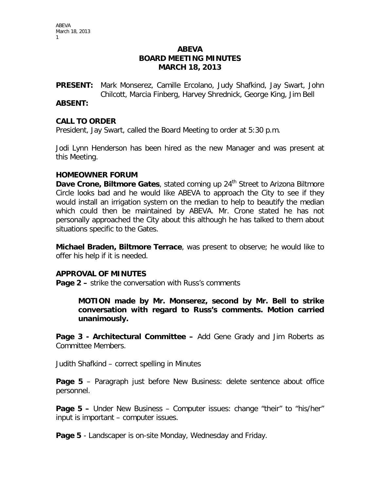# **ABEVA BOARD MEETING MINUTES MARCH 18, 2013**

**PRESENT:** Mark Monserez, Camille Ercolano, Judy Shafkind, Jay Swart, John Chilcott, Marcia Finberg, Harvey Shrednick, George King, Jim Bell

### **ABSENT:**

### **CALL TO ORDER**

President, Jay Swart, called the Board Meeting to order at 5:30 p.m.

Jodi Lynn Henderson has been hired as the new Manager and was present at this Meeting.

### **HOMEOWNER FORUM**

**Dave Crone, Biltmore Gates**, stated coming up 24<sup>th</sup> Street to Arizona Biltmore Circle looks bad and he would like ABEVA to approach the City to see if they would install an irrigation system on the median to help to beautify the median which could then be maintained by ABEVA. Mr. Crone stated he has not personally approached the City about this although he has talked to them about situations specific to the Gates.

**Michael Braden, Biltmore Terrace**, was present to observe; he would like to offer his help if it is needed.

#### **APPROVAL OF MINUTES**

**Page 2 –** strike the conversation with Russ's comments

**MOTION made by Mr. Monserez, second by Mr. Bell to strike conversation with regard to Russ's comments. Motion carried unanimously.** 

**Page 3 - Architectural Committee –** Add Gene Grady and Jim Roberts as Committee Members.

Judith Shafkind – correct spelling in Minutes

**Page 5** – Paragraph just before New Business: delete sentence about office personnel.

**Page 5 –** Under New Business – Computer issues: change "their" to "his/her" input is important – computer issues.

**Page 5** - Landscaper is on-site Monday, Wednesday and Friday.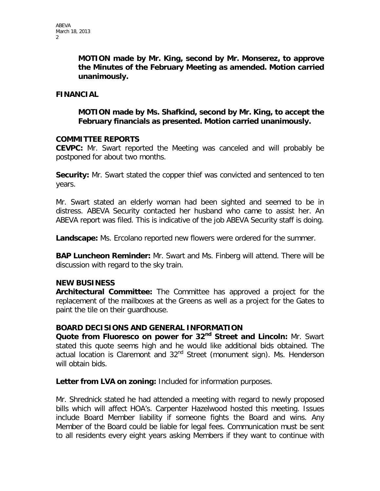**MOTION made by Mr. King, second by Mr. Monserez, to approve the Minutes of the February Meeting as amended. Motion carried unanimously.**

### **FINANCIAL**

**MOTION made by Ms. Shafkind, second by Mr. King, to accept the February financials as presented. Motion carried unanimously.**

### **COMMITTEE REPORTS**

**CEVPC:** Mr. Swart reported the Meeting was canceled and will probably be postponed for about two months.

**Security:** Mr. Swart stated the copper thief was convicted and sentenced to ten years.

Mr. Swart stated an elderly woman had been sighted and seemed to be in distress. ABEVA Security contacted her husband who came to assist her. An ABEVA report was filed. This is indicative of the job ABEVA Security staff is doing.

**Landscape:** Ms. Ercolano reported new flowers were ordered for the summer.

**BAP Luncheon Reminder:** Mr. Swart and Ms. Finberg will attend. There will be discussion with regard to the sky train.

## **NEW BUSINESS**

**Architectural Committee:** The Committee has approved a project for the replacement of the mailboxes at the Greens as well as a project for the Gates to paint the tile on their guardhouse.

## **BOARD DECISIONS AND GENERAL INFORMATION**

**Quote from Fluoresco on power for 32nd Street and Lincoln:** Mr. Swart stated this quote seems high and he would like additional bids obtained. The actual location is Claremont and 32<sup>nd</sup> Street (monument sign). Ms. Henderson will obtain bids.

**Letter from LVA on zoning:** Included for information purposes.

Mr. Shrednick stated he had attended a meeting with regard to newly proposed bills which will affect HOA's. Carpenter Hazelwood hosted this meeting. Issues include Board Member liability if someone fights the Board and wins. Any Member of the Board could be liable for legal fees. Communication must be sent to all residents every eight years asking Members if they want to continue with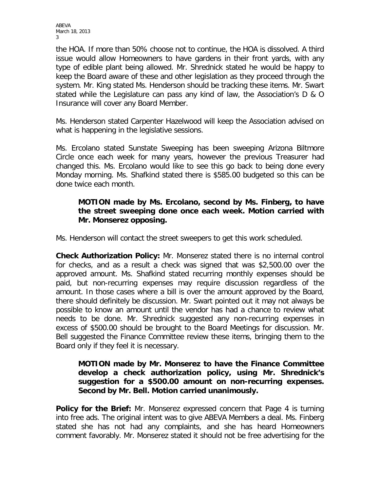ABEVA March 18, 2013 3

the HOA. If more than 50% choose not to continue, the HOA is dissolved. A third issue would allow Homeowners to have gardens in their front yards, with any type of edible plant being allowed. Mr. Shrednick stated he would be happy to keep the Board aware of these and other legislation as they proceed through the system. Mr. King stated Ms. Henderson should be tracking these items. Mr. Swart stated while the Legislature can pass any kind of law, the Association's D & O Insurance will cover any Board Member.

Ms. Henderson stated Carpenter Hazelwood will keep the Association advised on what is happening in the legislative sessions.

Ms. Ercolano stated Sunstate Sweeping has been sweeping Arizona Biltmore Circle once each week for many years, however the previous Treasurer had changed this. Ms. Ercolano would like to see this go back to being done every Monday morning. Ms. Shafkind stated there is \$585.00 budgeted so this can be done twice each month.

# **MOTION made by Ms. Ercolano, second by Ms. Finberg, to have the street sweeping done once each week. Motion carried with Mr. Monserez opposing.**

Ms. Henderson will contact the street sweepers to get this work scheduled.

**Check Authorization Policy:** Mr. Monserez stated there is no internal control for checks, and as a result a check was signed that was \$2,500.00 over the approved amount. Ms. Shafkind stated recurring monthly expenses should be paid, but non-recurring expenses may require discussion regardless of the amount. In those cases where a bill is over the amount approved by the Board, there should definitely be discussion. Mr. Swart pointed out it may not always be possible to know an amount until the vendor has had a chance to review what needs to be done. Mr. Shrednick suggested any non-recurring expenses in excess of \$500.00 should be brought to the Board Meetings for discussion. Mr. Bell suggested the Finance Committee review these items, bringing them to the Board only if they feel it is necessary.

# **MOTION made by Mr. Monserez to have the Finance Committee develop a check authorization policy, using Mr. Shrednick's suggestion for a \$500.00 amount on non-recurring expenses. Second by Mr. Bell. Motion carried unanimously.**

**Policy for the Brief:** Mr. Monserez expressed concern that Page 4 is turning into free ads. The original intent was to give ABEVA Members a deal. Ms. Finberg stated she has not had any complaints, and she has heard Homeowners comment favorably. Mr. Monserez stated it should not be free advertising for the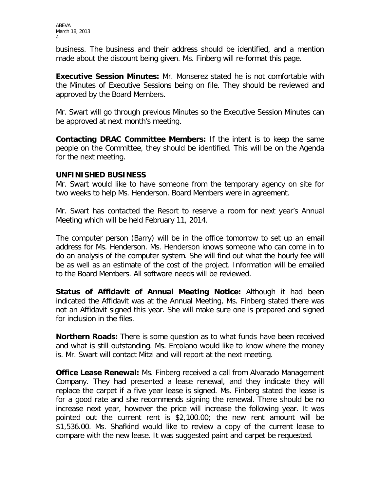ABEVA March 18, 2013 4

business. The business and their address should be identified, and a mention made about the discount being given. Ms. Finberg will re-format this page.

**Executive Session Minutes:** Mr. Monserez stated he is not comfortable with the Minutes of Executive Sessions being on file. They should be reviewed and approved by the Board Members.

Mr. Swart will go through previous Minutes so the Executive Session Minutes can be approved at next month's meeting.

**Contacting DRAC Committee Members:** If the intent is to keep the same people on the Committee, they should be identified. This will be on the Agenda for the next meeting.

## **UNFINISHED BUSINESS**

Mr. Swart would like to have someone from the temporary agency on site for two weeks to help Ms. Henderson. Board Members were in agreement.

Mr. Swart has contacted the Resort to reserve a room for next year's Annual Meeting which will be held February 11, 2014.

The computer person (Barry) will be in the office tomorrow to set up an email address for Ms. Henderson. Ms. Henderson knows someone who can come in to do an analysis of the computer system. She will find out what the hourly fee will be as well as an estimate of the cost of the project. Information will be emailed to the Board Members. All software needs will be reviewed.

**Status of Affidavit of Annual Meeting Notice:** Although it had been indicated the Affidavit was at the Annual Meeting, Ms. Finberg stated there was not an Affidavit signed this year. She will make sure one is prepared and signed for inclusion in the files.

**Northern Roads:** There is some question as to what funds have been received and what is still outstanding. Ms. Ercolano would like to know where the money is. Mr. Swart will contact Mitzi and will report at the next meeting.

**Office Lease Renewal:** Ms. Finberg received a call from Alvarado Management Company. They had presented a lease renewal, and they indicate they will replace the carpet if a five year lease is signed. Ms. Finberg stated the lease is for a good rate and she recommends signing the renewal. There should be no increase next year, however the price will increase the following year. It was pointed out the current rent is \$2,100.00; the new rent amount will be \$1,536.00. Ms. Shafkind would like to review a copy of the current lease to compare with the new lease. It was suggested paint and carpet be requested.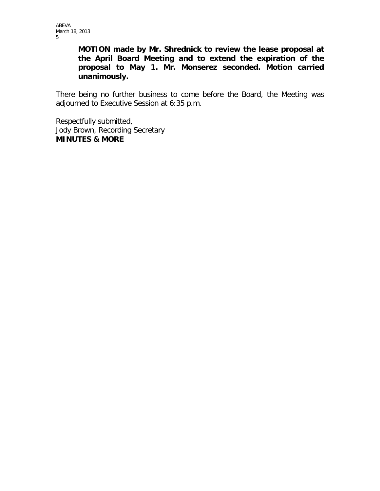**MOTION made by Mr. Shrednick to review the lease proposal at the April Board Meeting and to extend the expiration of the proposal to May 1. Mr. Monserez seconded. Motion carried unanimously.**

There being no further business to come before the Board, the Meeting was adjourned to Executive Session at 6:35 p.m.

Respectfully submitted, Jody Brown, Recording Secretary **MINUTES & MORE**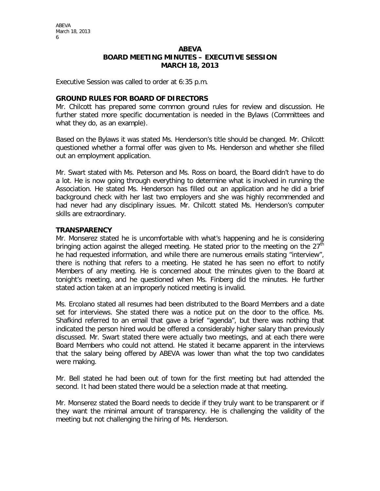#### **ABEVA BOARD MEETING MINUTES – EXECUTIVE SESSION MARCH 18, 2013**

Executive Session was called to order at 6:35 p.m.

#### **GROUND RULES FOR BOARD OF DIRECTORS**

Mr. Chilcott has prepared some common ground rules for review and discussion. He further stated more specific documentation is needed in the Bylaws (Committees and what they do, as an example).

Based on the Bylaws it was stated Ms. Henderson's title should be changed. Mr. Chilcott questioned whether a formal offer was given to Ms. Henderson and whether she filled out an employment application.

Mr. Swart stated with Ms. Peterson and Ms. Ross on board, the Board didn't have to do a lot. He is now going through everything to determine what is involved in running the Association. He stated Ms. Henderson has filled out an application and he did a brief background check with her last two employers and she was highly recommended and had never had any disciplinary issues. Mr. Chilcott stated Ms. Henderson's computer skills are extraordinary.

#### **TRANSPARENCY**

Mr. Monserez stated he is uncomfortable with what's happening and he is considering bringing action against the alleged meeting. He stated prior to the meeting on the  $27<sup>th</sup>$ he had requested information, and while there are numerous emails stating "interview", there is nothing that refers to a meeting. He stated he has seen no effort to notify Members of any meeting. He is concerned about the minutes given to the Board at tonight's meeting, and he questioned when Ms. Finberg did the minutes. He further stated action taken at an improperly noticed meeting is invalid.

Ms. Ercolano stated all resumes had been distributed to the Board Members and a date set for interviews. She stated there was a notice put on the door to the office. Ms. Shafkind referred to an email that gave a brief "agenda", but there was nothing that indicated the person hired would be offered a considerably higher salary than previously discussed. Mr. Swart stated there were actually two meetings, and at each there were Board Members who could not attend. He stated it became apparent in the interviews that the salary being offered by ABEVA was lower than what the top two candidates were making.

Mr. Bell stated he had been out of town for the first meeting but had attended the second. It had been stated there would be a selection made at that meeting.

Mr. Monserez stated the Board needs to decide if they truly want to be transparent or if they want the minimal amount of transparency. He is challenging the validity of the meeting but not challenging the hiring of Ms. Henderson.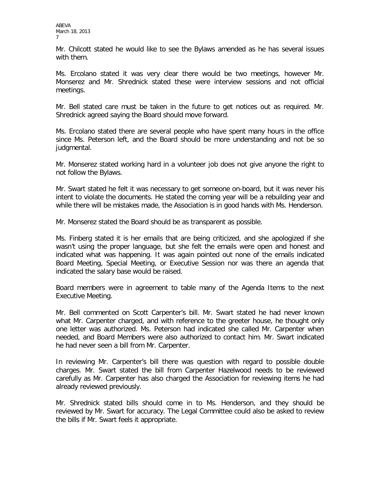Mr. Chilcott stated he would like to see the Bylaws amended as he has several issues with them.

Ms. Ercolano stated it was very clear there would be two meetings, however Mr. Monserez and Mr. Shrednick stated these were interview sessions and not official meetings.

Mr. Bell stated care must be taken in the future to get notices out as required. Mr. Shrednick agreed saying the Board should move forward.

Ms. Ercolano stated there are several people who have spent many hours in the office since Ms. Peterson left, and the Board should be more understanding and not be so judgmental.

Mr. Monserez stated working hard in a volunteer job does not give anyone the right to not follow the Bylaws.

Mr. Swart stated he felt it was necessary to get someone on-board, but it was never his intent to violate the documents. He stated the coming year will be a rebuilding year and while there will be mistakes made, the Association is in good hands with Ms. Henderson.

Mr. Monserez stated the Board should be as transparent as possible.

Ms. Finberg stated it is her emails that are being criticized, and she apologized if she wasn't using the proper language, but she felt the emails were open and honest and indicated what was happening. It was again pointed out none of the emails indicated Board Meeting, Special Meeting, or Executive Session nor was there an agenda that indicated the salary base would be raised.

Board members were in agreement to table many of the Agenda Items to the next Executive Meeting.

Mr. Bell commented on Scott Carpenter's bill. Mr. Swart stated he had never known what Mr. Carpenter charged, and with reference to the greeter house, he thought only one letter was authorized. Ms. Peterson had indicated she called Mr. Carpenter when needed, and Board Members were also authorized to contact him. Mr. Swart indicated he had never seen a bill from Mr. Carpenter.

In reviewing Mr. Carpenter's bill there was question with regard to possible double charges. Mr. Swart stated the bill from Carpenter Hazelwood needs to be reviewed carefully as Mr. Carpenter has also charged the Association for reviewing items he had already reviewed previously.

Mr. Shrednick stated bills should come in to Ms. Henderson, and they should be reviewed by Mr. Swart for accuracy. The Legal Committee could also be asked to review the bills if Mr. Swart feels it appropriate.